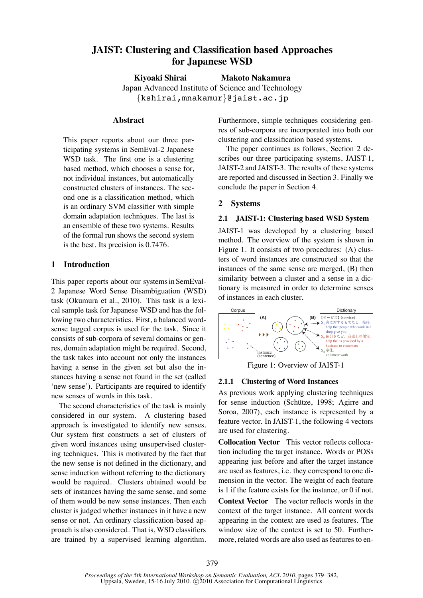## **JAIST: Clustering and Classification based Approaches for Japanese WSD**

**Kiyoaki Shirai Makoto Nakamura**

Japan Advanced Institute of Science and Technology {kshirai,mnakamur}@jaist.ac.jp

### **Abstract**

This paper reports about our three participating systems in SemEval-2 Japanese WSD task. The first one is a clustering based method, which chooses a sense for, not individual instances, but automatically constructed clusters of instances. The second one is a classification method, which is an ordinary SVM classifier with simple domain adaptation techniques. The last is an ensemble of these two systems. Results of the formal run shows the second system is the best. Its precision is 0.7476.

### **1 Introduction**

This paper reports about our systemsin SemEval-2 Japanese Word Sense Disambiguation (WSD) task (Okumura et al., 2010). This task is a lexical sample task for Japanese WSD and has the following two characteristics. First, a balanced wordsense tagged corpus is used for the task. Since it consists of sub-corpora of several domains or genres, domain adaptation might be required. Second, the task takes into account not only the instances having a sense in the given set but also the instances having a sense not found in the set (called 'new sense'). Participants are required to identify new senses of words in this task.

The second characteristics of the task is mainly considered in our system. A clustering based approach is investigated to identify new senses. Our system first constructs a set of clusters of given word instances using unsupervised clustering techniques. This is motivated by the fact that the new sense is not defined in the dictionary, and sense induction without referring to the dictionary would be required. Clusters obtained would be sets of instances having the same sense, and some of them would be new sense instances. Then each cluster is judged whether instances in it have a new sense or not. An ordinary classification-based approach is also considered. That is, WSD classifiers are trained by a supervised learning algorithm.

Furthermore, simple techniques considering genres of sub-corpora are incorporated into both our clustering and classification based systems.

The paper continues as follows, Section 2 describes our three participating systems, JAIST-1, JAIST-2 and JAIST-3. The results of these systems are reported and discussed in Section 3. Finally we conclude the paper in Section 4.

### **2 Systems**

### **2.1 JAIST-1: Clustering based WSD System**

JAIST-1 was developed by a clustering based method. The overview of the system is shown in Figure 1. It consists of two procedures: (A) clusters of word instances are constructed so that the instances of the same sense are merged, (B) then similarity between a cluster and a sense in a dictionary is measured in order to determine senses of instances in each cluster.



Figure 1: Overview of JAIST-1

### **2.1.1 Clustering of Word Instances**

As previous work applying clustering techniques for sense induction (Schütze, 1998; Agirre and Soroa, 2007), each instance is represented by a feature vector. In JAIST-1, the following 4 vectors are used for clustering.

**Collocation Vector** This vector reflects collocation including the target instance. Words or POSs appearing just before and after the target instance are used as features, i.e. they correspond to one dimension in the vector. The weight of each feature is 1 if the feature exists for the instance, or 0 if not.

**Context Vector** The vector reflects words in the context of the target instance. All content words appearing in the context are used as features. The window size of the context is set to 50. Furthermore, related words are also used as features to en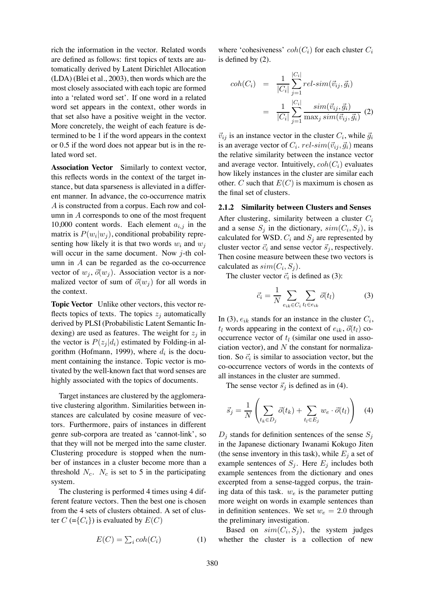rich the information in the vector. Related words are defined as follows: first topics of texts are automatically derived by Latent Dirichlet Allocation (LDA) (Blei et al., 2003), then words which are the most closely associated with each topic are formed into a 'related word set'. If one word in a related word set appears in the context, other words in that set also have a positive weight in the vector. More concretely, the weight of each feature is determined to be 1 if the word appears in the context or 0.5 if the word does not appear but is in the related word set.

**Association Vector** Similarly to context vector, this reflects words in the context of the target instance, but data sparseness is alleviated in a different manner. In advance, the co-occurrence matrix A is constructed from a corpus. Each row and column in A corresponds to one of the most frequent 10,000 content words. Each element  $a_{i,j}$  in the matrix is  $P(w_i|w_j)$ , conditional probability representing how likely it is that two words  $w_i$  and  $w_j$ will occur in the same document. Now  $j$ -th column in  $A$  can be regarded as the co-occurrence vector of  $w_j$ ,  $\vec{o}(w_j)$ . Association vector is a normalized vector of sum of  $\vec{o}(w_j)$  for all words in the context.

**Topic Vector** Unlike other vectors, this vector reflects topics of texts. The topics  $z_j$  automatically derived by PLSI (Probabilistic Latent Semantic Indexing) are used as features. The weight for  $z_i$  in the vector is  $P(z_i | d_i)$  estimated by Folding-in algorithm (Hofmann, 1999), where  $d_i$  is the document containing the instance. Topic vector is motivated by the well-known fact that word senses are highly associated with the topics of documents.

Target instances are clustered by the agglomerative clustering algorithm. Similarities between instances are calculated by cosine measure of vectors. Furthermore, pairs of instances in different genre sub-corpora are treated as 'cannot-link', so that they will not be merged into the same cluster. Clustering procedure is stopped when the number of instances in a cluster become more than a threshold  $N_c$ .  $N_c$  is set to 5 in the participating system.

The clustering is performed 4 times using 4 different feature vectors. Then the best one is chosen from the 4 sets of clusters obtained. A set of cluster  $C$  (={ $C_i$ }) is evaluated by  $E(C)$ 

$$
E(C) = \sum_{i} coh(C_i)
$$
 (1)

where 'cohesiveness'  $coh(C_i)$  for each cluster  $C_i$ is defined by (2).

$$
coh(C_i) = \frac{1}{|C_i|} \sum_{j=1}^{|C_i|} rel\text{-}sim(\vec{v}_{ij}, \vec{g}_i)
$$

$$
= \frac{1}{|C_i|} \sum_{j=1}^{|C_i|} \frac{sim(\vec{v}_{ij}, \vec{g}_i)}{\max_j sim(\vec{v}_{ij}, \vec{g}_i)} (2)
$$

 $\vec{v}_{ij}$  is an instance vector in the cluster  $C_i$ , while  $\vec{g}_i$ is an average vector of  $C_i$ .  $rel\text{-}sim(\vec{v}_{ij}, \vec{g}_i)$  means the relative similarity between the instance vector and average vector. Intuitively,  $coh(C_i)$  evaluates how likely instances in the cluster are similar each other. C such that  $E(C)$  is maximum is chosen as the final set of clusters.

# **2.1.2 Similarity between Clusters and Senses**

After clustering, similarity between a cluster  $C_i$ and a sense  $S_j$  in the dictionary,  $sim(C_i, S_j)$ , is calculated for WSD.  $C_i$  and  $S_j$  are represented by cluster vector  $\vec{c}_i$  and sense vector  $\vec{s}_j$ , respectively. Then cosine measure between these two vectors is calculated as  $sim(C_i, S_i)$ .

The cluster vector  $\vec{c}_i$  is defined as (3):

$$
\vec{c}_i = \frac{1}{N} \sum_{e_{ik} \in C_i} \sum_{t_l \in e_{ik}} \vec{o}(t_l)
$$
 (3)

In (3),  $e_{ik}$  stands for an instance in the cluster  $C_i$ ,  $t_l$  words appearing in the context of  $e_{ik}$ ,  $\vec{o}(t_l)$  cooccurrence vector of  $t_l$  (similar one used in association vector), and  $N$  the constant for normalization. So  $\vec{c}_i$  is similar to association vector, but the co-occurrence vectors of words in the contexts of all instances in the cluster are summed.

The sense vector  $\vec{s}_j$  is defined as in (4).

$$
\vec{s}_j = \frac{1}{N} \left( \sum_{t_k \in D_j} \vec{o}(t_k) + \sum_{t_l \in E_j} w_e \cdot \vec{o}(t_l) \right) \quad (4)
$$

 $D_i$  stands for definition sentences of the sense  $S_i$ in the Japanese dictionary Iwanami Kokugo Jiten (the sense inventory in this task), while  $E_i$  a set of example sentences of  $S_i$ . Here  $E_i$  includes both example sentences from the dictionary and ones excerpted from a sense-tagged corpus, the training data of this task.  $w_e$  is the parameter putting more weight on words in example sentences than in definition sentences. We set  $w_e = 2.0$  through the preliminary investigation.

Based on  $sim(C_i, S_j)$ , the system judges whether the cluster is a collection of new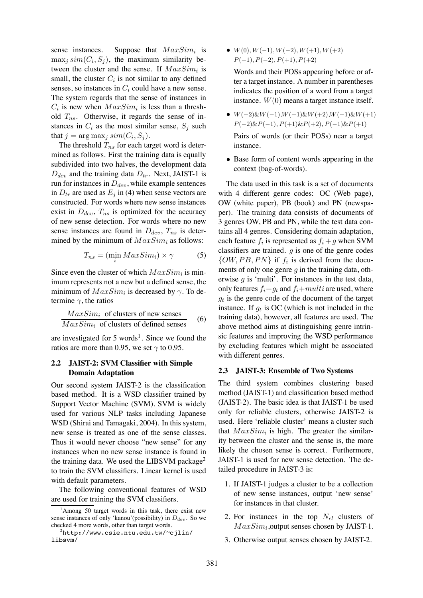sense instances. Suppose that  $MaxSim_i$  is  $\max_j sim(C_i, S_j)$ , the maximum similarity between the cluster and the sense. If  $MaxSim_i$  is small, the cluster  $C_i$  is not similar to any defined senses, so instances in  $C_i$  could have a new sense. The system regards that the sense of instances in  $C_i$  is new when  $MaxSim_i$  is less than a threshold  $T_{ns}$ . Otherwise, it regards the sense of instances in  $C_i$  as the most similar sense,  $S_j$  such that  $j = \arg \max_j sim(C_i, S_j)$ .

The threshold  $T_{ns}$  for each target word is determined as follows. First the training data is equally subdivided into two halves, the development data  $D_{dev}$  and the training data  $D_{tr}$ . Next, JAIST-1 is run for instances in  $D_{dev}$ , while example sentences in  $D_{tr}$  are used as  $E_i$  in (4) when sense vectors are constructed. For words where new sense instances exist in  $D_{dev}$ ,  $T_{ns}$  is optimized for the accuracy of new sense detection. For words where no new sense instances are found in  $D_{dev}$ ,  $T_{ns}$  is determined by the minimum of  $MaxSim_i$  as follows:

$$
T_{ns} = (\min_{i} MaxSim_{i}) \times \gamma \tag{5}
$$

Since even the cluster of which  $MaxSim_i$  is minimum represents not a new but a defined sense, the minimum of  $MaxSim_i$  is decreased by  $\gamma$ . To determine  $\gamma$ , the ratios

$$
\frac{MaxSim_i \text{ of clusters of new senses}}{MaxSim_i \text{ of clusters of defined senses}} \quad (6)
$$

are investigated for  $5 \text{ words}^1$ . Since we found the ratios are more than 0.95, we set  $\gamma$  to 0.95.

### **2.2 JAIST-2: SVM Classifier with Simple Domain Adaptation**

Our second system JAIST-2 is the classification based method. It is a WSD classifier trained by Support Vector Machine (SVM). SVM is widely used for various NLP tasks including Japanese WSD (Shirai and Tamagaki, 2004). In this system, new sense is treated as one of the sense classes. Thus it would never choose "new sense" for any instances when no new sense instance is found in the training data. We used the LIBSVM package<sup>2</sup> to train the SVM classifiers. Linear kernel is used with default parameters.

The following conventional features of WSD are used for training the SVM classifiers.

•  $W(0), W(-1), W(-2), W(+1), W(+2)$  $P(-1), P(-2), P(+1), P(+2)$ 

instance.

Words and their POSs appearing before or after a target instance. A number in parentheses indicates the position of a word from a target instance.  $W(0)$  means a target instance itself.

- $W(-2)$ & $W(-1)$ , $W(+1)$ & $W(+2)$ , $W(-1)$ & $W(+1)$  $P(-2)$ & $P(-1)$ ,  $P(+1)$ & $P(+2)$ ,  $P(-1)$ & $P(+1)$ Pairs of words (or their POSs) near a target
- Base form of content words appearing in the context (bag-of-words).

The data used in this task is a set of documents with 4 different genre codes: OC (Web page), OW (white paper), PB (book) and PN (newspaper). The training data consists of documents of 3 genres OW, PB and PN, while the test data contains all 4 genres. Considering domain adaptation, each feature  $f_i$  is represented as  $f_i + g$  when SVM classifiers are trained.  $g$  is one of the genre codes  $\{OW, PB, PN\}$  if  $f_i$  is derived from the documents of only one genre  $q$  in the training data, otherwise  $g$  is 'multi'. For instances in the test data, only features  $f_i+g_t$  and  $f_i+multi$  are used, where  $g_t$  is the genre code of the document of the target instance. If  $q_t$  is OC (which is not included in the training data), however, all features are used. The above method aims at distinguishing genre intrinsic features and improving the WSD performance by excluding features which might be associated with different genres.

### **2.3 JAIST-3: Ensemble of Two Systems**

The third system combines clustering based method (JAIST-1) and classification based method (JAIST-2). The basic idea is that JAIST-1 be used only for reliable clusters, otherwise JAIST-2 is used. Here 'reliable cluster' means a cluster such that  $MaxSim_i$  is high. The greater the similarity between the cluster and the sense is, the more likely the chosen sense is correct. Furthermore, JAIST-1 is used for new sense detection. The detailed procedure in JAIST-3 is:

- 1. If JAIST-1 judges a cluster to be a collection of new sense instances, output 'new sense' for instances in that cluster.
- 2. For instances in the top  $N_{cl}$  clusters of  $MaxSim_i$ , output senses chosen by JAIST-1.
- 3. Otherwise output senses chosen by JAIST-2.

<sup>&</sup>lt;sup>1</sup>Among 50 target words in this task, there exist new sense instances of only 'kanou'(possibility) in  $D_{dev}$ . So we checked 4 more words, other than target words.

<sup>2</sup> http://www.csie.ntu.edu.tw/∼cjlin/ libsvm/